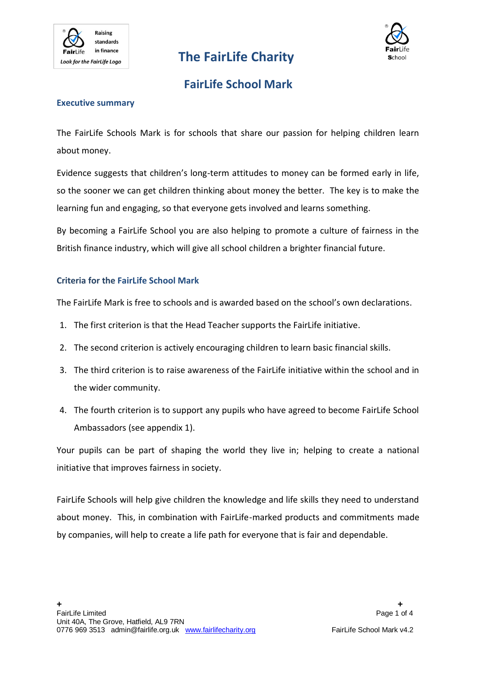

# **The FairLife Charity**



### **FairLife School Mark**

#### **Executive summary**

The FairLife Schools Mark is for schools that share our passion for helping children learn about money.

Evidence suggests that children's long-term attitudes to money can be formed early in life, so the sooner we can get children thinking about money the better. The key is to make the learning fun and engaging, so that everyone gets involved and learns something.

By becoming a FairLife School you are also helping to promote a culture of fairness in the British finance industry, which will give all school children a brighter financial future.

### **Criteria for the FairLife School Mark**

The FairLife Mark is free to schools and is awarded based on the school's own declarations.

- 1. The first criterion is that the Head Teacher supports the FairLife initiative.
- 2. The second criterion is actively encouraging children to learn basic financial skills.
- 3. The third criterion is to raise awareness of the FairLife initiative within the school and in the wider community.
- 4. The fourth criterion is to support any pupils who have agreed to become FairLife School Ambassadors (see appendix 1).

Your pupils can be part of shaping the world they live in; helping to create a national initiative that improves fairness in society.

FairLife Schools will help give children the knowledge and life skills they need to understand about money. This, in combination with FairLife-marked products and commitments made by companies, will help to create a life path for everyone that is fair and dependable.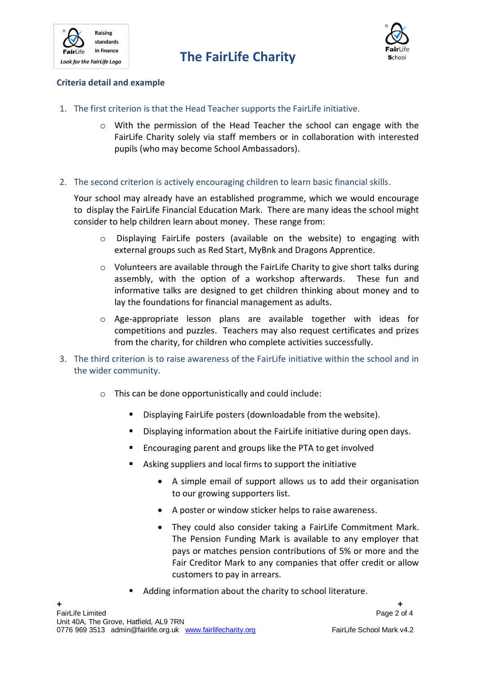



### **Criteria detail and example**

- 1. The first criterion is that the Head Teacher supports the FairLife initiative.
	- $\circ$  With the permission of the Head Teacher the school can engage with the FairLife Charity solely via staff members or in collaboration with interested pupils (who may become School Ambassadors).
- 2. The second criterion is actively encouraging children to learn basic financial skills.

Your school may already have an established programme, which we would encourage to display the FairLife Financial Education Mark. There are many ideas the school might consider to help children learn about money. These range from:

- o Displaying FairLife posters (available on the website) to engaging with external groups such as Red Start, MyBnk and Dragons Apprentice.
- o Volunteers are available through the FairLife Charity to give short talks during assembly, with the option of a workshop afterwards. These fun and informative talks are designed to get children thinking about money and to lay the foundations for financial management as adults.
- $\circ$  Age-appropriate lesson plans are available together with ideas for competitions and puzzles. Teachers may also request certificates and prizes from the charity, for children who complete activities successfully.
- 3. The third criterion is to raise awareness of the FairLife initiative within the school and in the wider community.
	- o This can be done opportunistically and could include:
		- **Displaying FairLife posters (downloadable from the website).**
		- Displaying information about the FairLife initiative during open days.
		- **EXECOUTAGE ENGLIFE ENGLIFE IS A TEAM** Encouraging parent and groups like the PTA to get involved
		- Asking suppliers and local firms to support the initiative
			- A simple email of support allows us to add their organisation to our growing supporters list.
			- A poster or window sticker helps to raise awareness.
			- They could also consider taking a FairLife Commitment Mark. The Pension Funding Mark is available to any employer that pays or matches pension contributions of 5% or more and the Fair Creditor Mark to any companies that offer credit or allow customers to pay in arrears.
		- Adding information about the charity to school literature.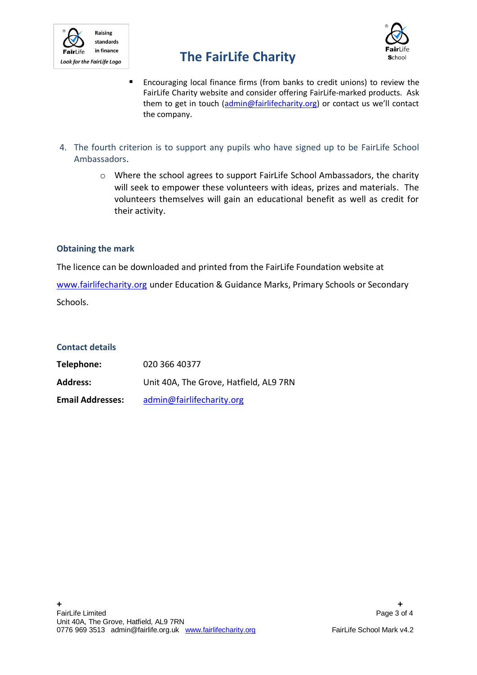

# **The FairLife Charity**



- Encouraging local finance firms (from banks to credit unions) to review the FairLife Charity website and consider offering FairLife-marked products. Ask them to get in touch [\(admin@fairlifecharity.org\)](mailto:admin@fairlifecharity.org) or contact us we'll contact the company.
- 4. The fourth criterion is to support any pupils who have signed up to be FairLife School Ambassadors.
	- o Where the school agrees to support FairLife School Ambassadors, the charity will seek to empower these volunteers with ideas, prizes and materials. The volunteers themselves will gain an educational benefit as well as credit for their activity.

#### **Obtaining the mark**

The licence can be downloaded and printed from the FairLife Foundation website at

[www.fairlifecharity.org](http://www.fairlifecharity.org/) under Education & Guidance Marks, Primary Schools or Secondary Schools.

### **Contact details**

| Telephone:              | 020 366 40377                          |
|-------------------------|----------------------------------------|
| <b>Address:</b>         | Unit 40A, The Grove, Hatfield, AL9 7RN |
| <b>Email Addresses:</b> | admin@fairlifecharity.org              |